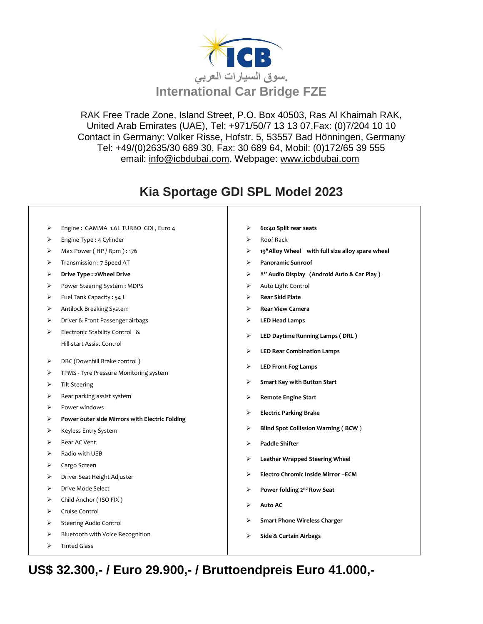

RAK Free Trade Zone, Island Street, P.O. Box 40503, Ras Al Khaimah RAK, United Arab Emirates (UAE), Tel: +971/50/7 13 13 07,Fax: (0)7/204 10 10 Contact in Germany: Volker Risse, Hofstr. 5, 53557 Bad Hönningen, Germany Tel: +49/(0)2635/30 689 30, Fax: 30 689 64, Mobil: (0)172/65 39 555 email: [info@icbdubai.com,](mailto:info@icbdubai.com) Webpage: [www.icbdubai.com](http://www.icbdubai.com/)

## **Kia Sportage GDI SPL Model 2023**

- ➢ Engine : GAMMA 1.6L TURBO GDI , Euro 4
- ➢ Engine Type : 4 Cylinder
- $\triangleright$  Max Power (HP / Rpm ) : 176
- ➢ Transmission : 7 Speed AT
- ➢ **Drive Type : 2Wheel Drive**
- ➢ Power Steering System : MDPS
- ➢ Fuel Tank Capacity : 54 L
- ➢ Antilock Breaking System
- ➢ Driver & Front Passenger airbags
- ➢ Electronic Stability Control & Hill-start Assist Control
- ➢ DBC (Downhill Brake control )
- ➢ TPMS Tyre Pressure Monitoring system
- ➢ Tilt Steering
- $\triangleright$  Rear parking assist system
- ➢ Power windows
- ➢ **Power outer side Mirrors with Electric Folding**
- ➢ Keyless Entry System
- ➢ Rear AC Vent
- ➢ Radio with USB
- ➢ Cargo Screen
- ➢ Driver Seat Height Adjuster
- ➢ Drive Mode Select
- ➢ Child Anchor ( ISO FIX )
- ➢ Cruise Control
- ➢ Steering Audio Control
- ➢ Bluetooth with Voice Recognition
- ➢ Tinted Glass
- ➢ **60:40 Split rear seats**
- ➢ Roof Rack
- ➢ **19"Alloy Wheel with full size alloy spare wheel**
- ➢ **Panoramic Sunroof**
- ➢ 8**" Audio Display (Android Auto & Car Play )**
- ➢ Auto Light Control
- ➢ **Rear Skid Plate**
- ➢ **Rear View Camera**
- ➢ **LED Head Lamps**
- ➢ **LED Daytime Running Lamps ( DRL )**
- ➢ **LED Rear Combination Lamps**
- ➢ **LED Front Fog Lamps**
- ➢ **Smart Key with Button Start**
- ➢ **Remote Engine Start**
- ➢ **Electric Parking Brake**
- ➢ **Blind Spot Collission Warning ( BCW** )
- ➢ **Paddle Shifter**
- ➢ **Leather Wrapped Steering Wheel**
- ➢ **Electro Chromic Inside Mirror –ECM**
- ➢ **Power folding 2nd Row Seat**
- ➢ **Auto AC**
- ➢ **Smart Phone Wireless Charger**
- ➢ **Side & Curtain Airbags**

**US\$ 32.300,- / Euro 29.900,- / Bruttoendpreis Euro 41.000,-**